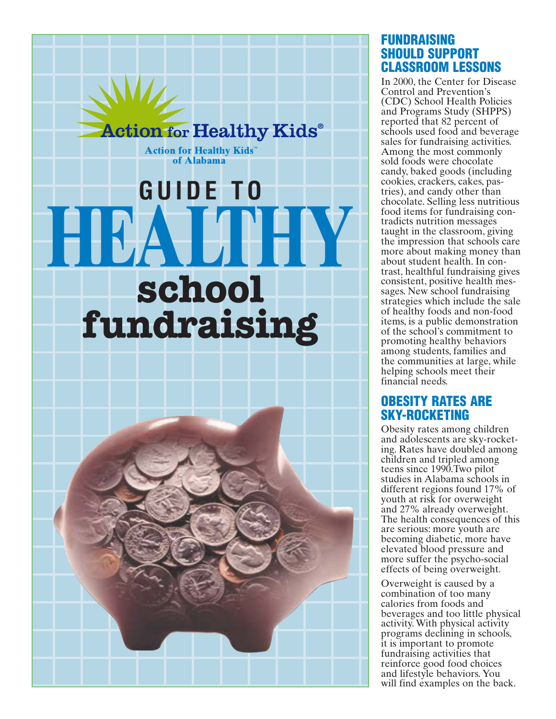

#### **FUNDRAISING SHOULD SUPPORT** CLASSROOM LESSONS

In 2000, the Center for Disease Control and Prevention's (CDC) School Health Policies and Programs Study (SHPPS) reported that 82 percent of schools used food and beverage sales for fundraising activities. Among the most commonly sold foods were chocolate candy, baked goods (including) cookies, crackers, cakes, pastries), and candy other than chocolate. Selling less nutritious food items for fundraising contradicts nutrition messages taught in the classroom, giving the impression that schools care more about making money than about student health. In contrast, healthful fundraising gives consistent, positive health messages. New school fundraising strategies which include the sale of healthy foods and non-food items, is a public demonstration of the school's commitment to promoting healthy behaviors among students, families and the communities at large, while helping schools meet their financial needs.

#### **OBESITY RATES ARE** SKY-ROCKETING

Obesity rates among children and adolescents are sky-rocketing. Rates have doubled among children and tripled among teens since 1990. Two pilot studies in Alabama schools in different regions found 17% of youth at risk for overweight and 27% already overweight. The health consequences of this are serious: more youth are becoming diabetic, more have elevated blood pressure and more suffer the psycho-social effects of being overweight.

Overweight is caused by a combination of too many calories from foods and beverages and too little physical activity. With physical activity programs declining in schools, it is important to promote fundraising activities that reinforce good food choices and lifestyle behaviors. You will find examples on the back.